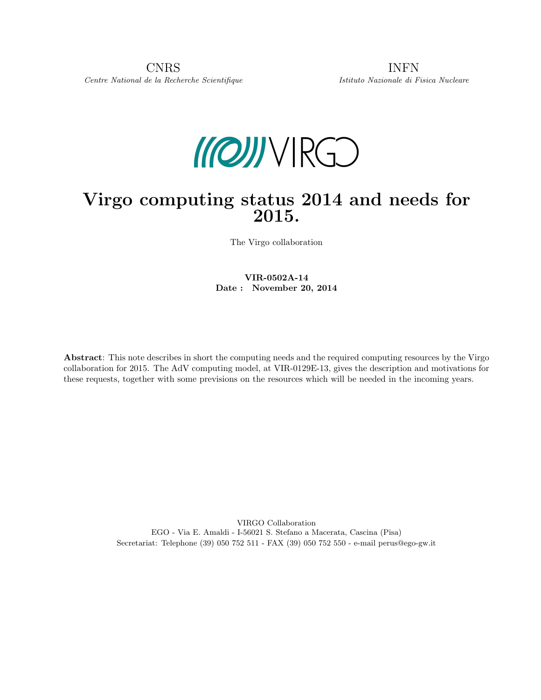CNRS INFN Centre National de la Recherche Scientifique Istituto Nazionale di Fisica Nucleare



# Virgo computing status 2014 and needs for 2015.

The Virgo collaboration

VIR-0502A-14 Date : November 20, 2014

Abstract: This note describes in short the computing needs and the required computing resources by the Virgo collaboration for 2015. The AdV computing model, at VIR-0129E-13, gives the description and motivations for these requests, together with some previsions on the resources which will be needed in the incoming years.

> VIRGO Collaboration EGO - Via E. Amaldi - I-56021 S. Stefano a Macerata, Cascina (Pisa) Secretariat: Telephone (39) 050 752 511 - FAX (39) 050 752 550 - e-mail perus@ego-gw.it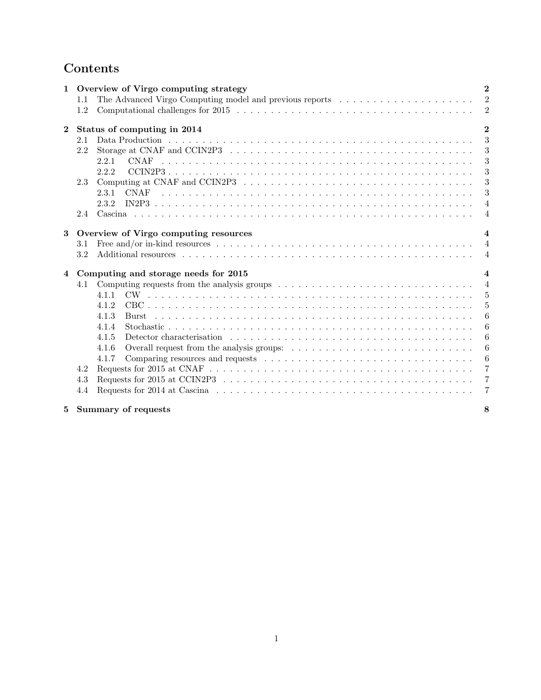## Contents

| $\mathbf{1}$ |     | Overview of Virgo computing strategy<br>$\mathbf{2}$                                                                                              |  |
|--------------|-----|---------------------------------------------------------------------------------------------------------------------------------------------------|--|
|              | 1.1 | $\overline{2}$<br>The Advanced Virgo Computing model and previous reports                                                                         |  |
|              | 1.2 | $\overline{2}$                                                                                                                                    |  |
| $\bf{2}$     |     | $\mathbf{2}$<br>Status of computing in 2014                                                                                                       |  |
|              | 2.1 | 3                                                                                                                                                 |  |
|              | 2.2 | Storage at CNAF and CCIN2P3 $\dots \dots \dots \dots \dots \dots \dots \dots \dots \dots \dots \dots \dots \dots \dots$<br>$\boldsymbol{3}$       |  |
|              |     | 3<br><b>CNAF</b><br>2.2.1                                                                                                                         |  |
|              |     | 3<br>2.2.2                                                                                                                                        |  |
|              | 2.3 | Computing at CNAF and CCIN2P3 $\ldots \ldots \ldots \ldots \ldots \ldots \ldots \ldots \ldots \ldots \ldots \ldots$<br>3                          |  |
|              |     | 3<br>2.3.1                                                                                                                                        |  |
|              |     | 2.3.2<br>$\overline{4}$                                                                                                                           |  |
|              | 2.4 | $\overline{4}$                                                                                                                                    |  |
|              |     |                                                                                                                                                   |  |
| 3            |     | Overview of Virgo computing resources<br>$\overline{4}$                                                                                           |  |
|              | 3.1 | Free and/or in-kind resources $\dots \dots \dots \dots \dots \dots \dots \dots \dots \dots \dots \dots \dots \dots \dots \dots$<br>$\overline{4}$ |  |
|              | 3.2 | $\overline{4}$                                                                                                                                    |  |
| 4            |     | Computing and storage needs for 2015<br>$\overline{4}$                                                                                            |  |
|              | 4.1 | Computing requests from the analysis groups $\dots \dots \dots \dots \dots \dots \dots \dots \dots \dots \dots \dots$<br>$\overline{4}$           |  |
|              |     | 5<br>4.1.1                                                                                                                                        |  |
|              |     | $\overline{5}$<br>4.1.2                                                                                                                           |  |
|              |     | 6<br>4.1.3<br><b>Burst</b>                                                                                                                        |  |
|              |     | 4.1.4<br>6                                                                                                                                        |  |
|              |     | 6<br>4.1.5                                                                                                                                        |  |
|              |     | $\boldsymbol{6}$<br>4.1.6                                                                                                                         |  |
|              |     | Comparing resources and requests $\dots \dots \dots \dots \dots \dots \dots \dots \dots \dots \dots \dots$<br>-6<br>4.1.7                         |  |
|              | 4.2 | $\overline{7}$                                                                                                                                    |  |
|              | 4.3 | $\overline{7}$                                                                                                                                    |  |
|              | 4.4 | $\overline{7}$                                                                                                                                    |  |
| 5            |     | Summary of requests<br>8                                                                                                                          |  |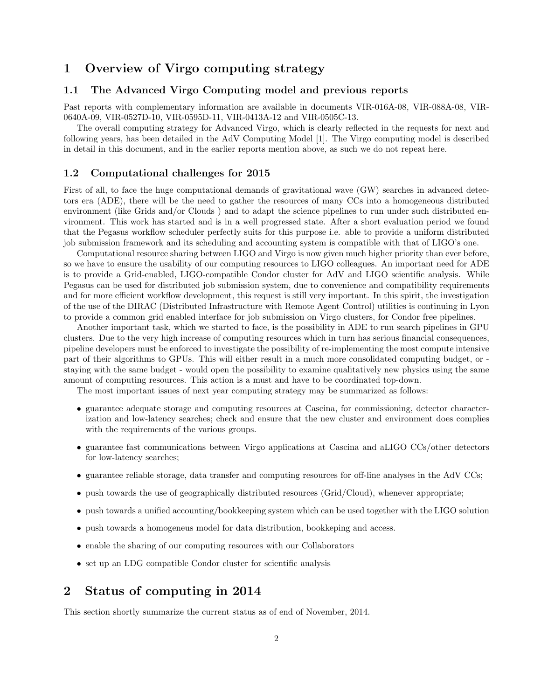### 1 Overview of Virgo computing strategy

### 1.1 The Advanced Virgo Computing model and previous reports

Past reports with complementary information are available in documents VIR-016A-08, VIR-088A-08, VIR-0640A-09, VIR-0527D-10, VIR-0595D-11, VIR-0413A-12 and VIR-0505C-13.

The overall computing strategy for Advanced Virgo, which is clearly reflected in the requests for next and following years, has been detailed in the AdV Computing Model [1]. The Virgo computing model is described in detail in this document, and in the earlier reports mention above, as such we do not repeat here.

### 1.2 Computational challenges for 2015

First of all, to face the huge computational demands of gravitational wave (GW) searches in advanced detectors era (ADE), there will be the need to gather the resources of many CCs into a homogeneous distributed environment (like Grids and/or Clouds ) and to adapt the science pipelines to run under such distributed environment. This work has started and is in a well progressed state. After a short evaluation period we found that the Pegasus workflow scheduler perfectly suits for this purpose i.e. able to provide a uniform distributed job submission framework and its scheduling and accounting system is compatible with that of LIGO's one.

Computational resource sharing between LIGO and Virgo is now given much higher priority than ever before, so we have to ensure the usability of our computing resources to LIGO colleagues. An important need for ADE is to provide a Grid-enabled, LIGO-compatible Condor cluster for AdV and LIGO scientific analysis. While Pegasus can be used for distributed job submission system, due to convenience and compatibility requirements and for more efficient workflow development, this request is still very important. In this spirit, the investigation of the use of the DIRAC (Distributed Infrastructure with Remote Agent Control) utilities is continuing in Lyon to provide a common grid enabled interface for job submission on Virgo clusters, for Condor free pipelines.

Another important task, which we started to face, is the possibility in ADE to run search pipelines in GPU clusters. Due to the very high increase of computing resources which in turn has serious financial consequences, pipeline developers must be enforced to investigate the possibility of re-implementing the most compute intensive part of their algorithms to GPUs. This will either result in a much more consolidated computing budget, or staying with the same budget - would open the possibility to examine qualitatively new physics using the same amount of computing resources. This action is a must and have to be coordinated top-down.

The most important issues of next year computing strategy may be summarized as follows:

- guarantee adequate storage and computing resources at Cascina, for commissioning, detector characterization and low-latency searches; check and ensure that the new cluster and environment does complies with the requirements of the various groups.
- guarantee fast communications between Virgo applications at Cascina and aLIGO CCs/other detectors for low-latency searches;
- guarantee reliable storage, data transfer and computing resources for off-line analyses in the AdV CCs;
- push towards the use of geographically distributed resources (Grid/Cloud), whenever appropriate;
- push towards a unified accounting/bookkeeping system which can be used together with the LIGO solution
- push towards a homogeneus model for data distribution, bookkeping and access.
- enable the sharing of our computing resources with our Collaborators
- set up an LDG compatible Condor cluster for scientific analysis

### 2 Status of computing in 2014

This section shortly summarize the current status as of end of November, 2014.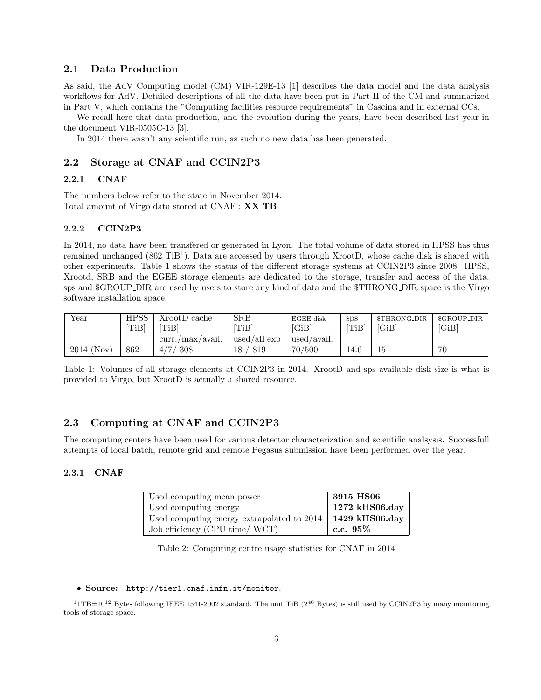### 2.1 Data Production

As said, the AdV Computing model (CM) VIR-129E-13 [1] describes the data model and the data analysis workflows for AdV. Detailed descriptions of all the data have been put in Part II of the CM and summarized in Part V, which contains the "Computing facilities resource requirements" in Cascina and in external CCs.

We recall here that data production, and the evolution during the years, have been described last year in the document VIR-0505C-13 [3].

In 2014 there wasn't any scientific run, as such no new data has been generated.

### 2.2 Storage at CNAF and CCIN2P3

### 2.2.1 CNAF

The numbers below refer to the state in November 2014. Total amount of Virgo data stored at CNAF : XX TB

### 2.2.2 CCIN2P3

In 2014, no data have been transfered or generated in Lyon. The total volume of data stored in HPSS has thus remained unchanged  $(862 \text{ TiB}^1)$ . Data are accessed by users through XrootD, whose cache disk is shared with other experiments. Table 1 shows the status of the different storage systems at CCIN2P3 since 2008. HPSS, Xrootd, SRB and the EGEE storage elements are dedicated to the storage, transfer and access of the data. sps and \$GROUP DIR are used by users to store any kind of data and the \$THRONG DIR space is the Virgo software installation space.

| Year         | <b>HPSS</b> | XrootD cache     | <b>SRB</b>       | EGEE disk   | <b>SDS</b> | \$THRONG_DIR | \$GROUP_DIR |
|--------------|-------------|------------------|------------------|-------------|------------|--------------|-------------|
|              | [TiB]       | TiBl             | $[\mathrm{TiB}]$ | [GiB]       | [TiB]      | [GiB]        | [GiB]       |
|              |             | curr./max/avail. | used/all exp     | used/avail. |            |              |             |
| $2014$ (Nov) | 862         | 308              | 819<br>18        | 70/500      | 14.6       | ĿЭ           | 70          |

Table 1: Volumes of all storage elements at CCIN2P3 in 2014. XrootD and sps available disk size is what is provided to Virgo, but XrootD is actually a shared resource.

### 2.3 Computing at CNAF and CCIN2P3

The computing centers have been used for various detector characterization and scientific analsysis. Successfull attempts of local batch, remote grid and remote Pegasus submission have been performed over the year.

#### 2.3.1 CNAF

| Used computing mean power                  | 3915 HS06               |
|--------------------------------------------|-------------------------|
| Used computing energy                      | $1272$ kHS06.day        |
| Used computing energy extrapolated to 2014 | $\sqrt{1429}$ kHS06.day |
| Job efficiency (CPU time/ WCT)             | c.c. $95\%$             |

Table 2: Computing centre usage statistics for CNAF in 2014

• Source: http://tier1.cnaf.infn.it/monitor.

 $11\text{TB}=10^{12}$  Bytes following IEEE 1541-2002 standard. The unit TiB ( $2^{40}$  Bytes) is still used by CCIN2P3 by many monitoring tools of storage space.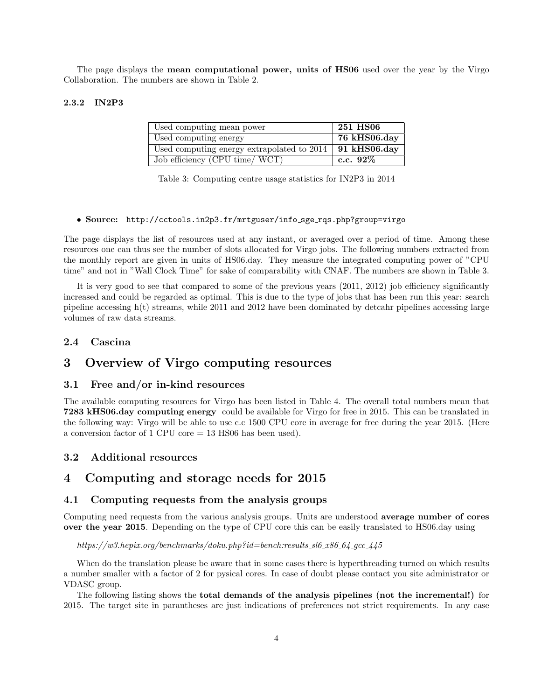The page displays the **mean computational power, units of HS06** used over the year by the Virgo Collaboration. The numbers are shown in Table 2.

### 2.3.2 IN2P3

| Used computing mean power                  | 251 HS06     |
|--------------------------------------------|--------------|
| Used computing energy                      | 76 kHS06.day |
| Used computing energy extrapolated to 2014 | 91 kHS06.day |
| Job efficiency (CPU time/ WCT)             | c.c. $92\%$  |

Table 3: Computing centre usage statistics for IN2P3 in 2014

#### • Source: http://cctools.in2p3.fr/mrtguser/info sge rqs.php?group=virgo

The page displays the list of resources used at any instant, or averaged over a period of time. Among these resources one can thus see the number of slots allocated for Virgo jobs. The following numbers extracted from the monthly report are given in units of HS06.day. They measure the integrated computing power of "CPU time" and not in "Wall Clock Time" for sake of comparability with CNAF. The numbers are shown in Table 3.

It is very good to see that compared to some of the previous years (2011, 2012) job efficiency significantly increased and could be regarded as optimal. This is due to the type of jobs that has been run this year: search pipeline accessing h(t) streams, while 2011 and 2012 have been dominated by detcahr pipelines accessing large volumes of raw data streams.

### 2.4 Cascina

### 3 Overview of Virgo computing resources

### 3.1 Free and/or in-kind resources

The available computing resources for Virgo has been listed in Table 4. The overall total numbers mean that 7283 kHS06.day computing energy could be available for Virgo for free in 2015. This can be translated in the following way: Virgo will be able to use c.c 1500 CPU core in average for free during the year 2015. (Here a conversion factor of 1 CPU core = 13 HS06 has been used).

### 3.2 Additional resources

### 4 Computing and storage needs for 2015

### 4.1 Computing requests from the analysis groups

Computing need requests from the various analysis groups. Units are understood average number of cores over the year 2015. Depending on the type of CPU core this can be easily translated to HS06.day using

https://w3.hepix.org/benchmarks/doku.php?id=bench:results\_sl6\_x86\_64\_qcc\_445

When do the translation please be aware that in some cases there is hyperthreading turned on which results a number smaller with a factor of 2 for pysical cores. In case of doubt please contact you site administrator or VDASC group.

The following listing shows the total demands of the analysis pipelines (not the incremental!) for 2015. The target site in parantheses are just indications of preferences not strict requirements. In any case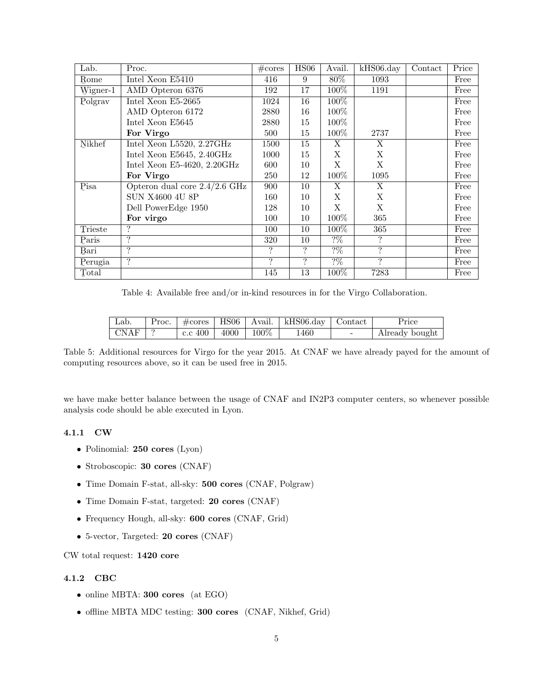| Lab.       | Proc.                           | $\#\mathrm{cores}$ | HS06 | Avail.           | $kHSO6 \, day$ | Contact | Price |
|------------|---------------------------------|--------------------|------|------------------|----------------|---------|-------|
| Rome       | Intel Xeon E5410                | 416                | 9    | 80%              | 1093           |         | Free  |
| $Wigner-1$ | AMD Opteron 6376                | 192                | 17   | $100\%$          | 1191           |         | Free  |
| Polgrav    | Intel Xeon E5-2665              | 1024               | 16   | 100%             |                |         | Free  |
|            | AMD Opteron 6172                | 2880               | 16   | 100%             |                |         | Free  |
|            | Intel Xeon E5645                | 2880               | 15   | $100\%$          |                |         | Free  |
|            | For Virgo                       | 500                | 15   | 100\%            | 2737           |         | Free  |
| Nikhef     | Intel Xeon L5520, 2.27GHz       | 1500               | 15   | X                | X              |         | Free  |
|            | Intel Xeon E5645, 2.40GHz       | 1000               | 15   | X                | X              |         | Free  |
|            | Intel Xeon E5-4620, 2.20GHz     | 600                | 10   | X                | X              |         | Free  |
|            | For Virgo                       | 250                | 12   | $100\%$          | 1095           |         | Free  |
| Pisa       | Opteron dual core $2.4/2.6$ GHz | 900                | 10   | X                | X              |         | Free  |
|            | <b>SUN X4600 4U 8P</b>          | 160                | 10   | X                | X              |         | Free  |
|            | Dell PowerEdge 1950             | 128                | 10   | X                | X              |         | Free  |
|            | For virgo                       | 100                | 10   | $100\%$          | 365            |         | Free  |
| Trieste    | ?                               | 100                | 10   | $100\%$          | 365            |         | Free  |
| Paris      | $\gamma$                        | 320                | 10   | $2\%$            | ?              |         | Free  |
| Bari       | $\ddot{?}$                      | ?                  | ?    | $\frac{2\%}{10}$ | $\ddot{?}$     |         | Free  |
| Perugia    | $\ddot{?}$                      | ?                  | ?    | $\frac{2\%}{10}$ | ?              |         | Free  |
| Total      |                                 | 145                | 13   | 100%             | 7283           |         | Free  |

Table 4: Available free and/or in-kind resources in for the Virgo Collaboration.

| Lab.              |                        |  | Proc. $\#cores \mid \text{HS06} \mid \text{Avail.} \mid \text{kHz06.}$ day $\mid$ Contact |                          | Price          |
|-------------------|------------------------|--|-------------------------------------------------------------------------------------------|--------------------------|----------------|
| $\Gamma$ CNAF   ? | c.c 400   4000   100\% |  | 1460                                                                                      | $\overline{\phantom{0}}$ | Already bought |

Table 5: Additional resources for Virgo for the year 2015. At CNAF we have already payed for the amount of computing resources above, so it can be used free in 2015.

we have make better balance between the usage of CNAF and IN2P3 computer centers, so whenever possible analysis code should be able executed in Lyon.

### 4.1.1 CW

- Polinomial: 250 cores (Lyon)
- Stroboscopic: 30 cores (CNAF)
- Time Domain F-stat, all-sky: 500 cores (CNAF, Polgraw)
- Time Domain F-stat, targeted: 20 cores (CNAF)
- Frequency Hough, all-sky: 600 cores (CNAF, Grid)
- 5-vector, Targeted: 20 cores (CNAF)

CW total request: 1420 core

### 4.1.2 CBC

- online MBTA: 300 cores (at EGO)
- offline MBTA MDC testing: 300 cores (CNAF, Nikhef, Grid)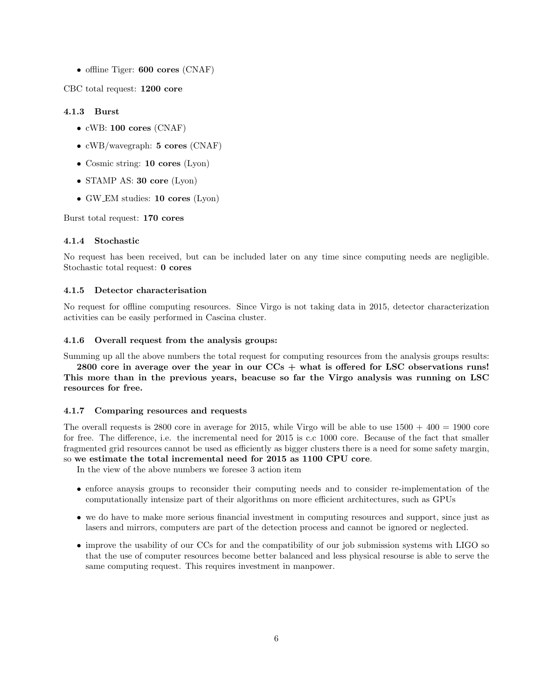• offline Tiger: **600 cores** (CNAF)

CBC total request: 1200 core

#### 4.1.3 Burst

- cWB: 100 cores (CNAF)
- cWB/wavegraph: 5 cores (CNAF)
- Cosmic string: **10 cores** (Lyon)
- STAMP AS: 30 core (Lyon)
- GW EM studies: 10 cores (Lyon)

Burst total request: 170 cores

#### 4.1.4 Stochastic

No request has been received, but can be included later on any time since computing needs are negligible. Stochastic total request: 0 cores

### 4.1.5 Detector characterisation

No request for offline computing resources. Since Virgo is not taking data in 2015, detector characterization activities can be easily performed in Cascina cluster.

### 4.1.6 Overall request from the analysis groups:

Summing up all the above numbers the total request for computing resources from the analysis groups results:

2800 core in average over the year in our  $CCs +$  what is offered for LSC observations runs! This more than in the previous years, beacuse so far the Virgo analysis was running on LSC resources for free.

### 4.1.7 Comparing resources and requests

The overall requests is 2800 core in average for 2015, while Virgo will be able to use  $1500 + 400 = 1900$  core for free. The difference, i.e. the incremental need for 2015 is c.c 1000 core. Because of the fact that smaller fragmented grid resources cannot be used as efficiently as bigger clusters there is a need for some safety margin, so we estimate the total incremental need for 2015 as 1100 CPU core.

In the view of the above numbers we foresee 3 action item

- enforce anaysis groups to reconsider their computing needs and to consider re-implementation of the computationally intensize part of their algorithms on more efficient architectures, such as GPUs
- we do have to make more serious financial investment in computing resources and support, since just as lasers and mirrors, computers are part of the detection process and cannot be ignored or neglected.
- improve the usability of our CCs for and the compatibility of our job submission systems with LIGO so that the use of computer resources become better balanced and less physical resourse is able to serve the same computing request. This requires investment in manpower.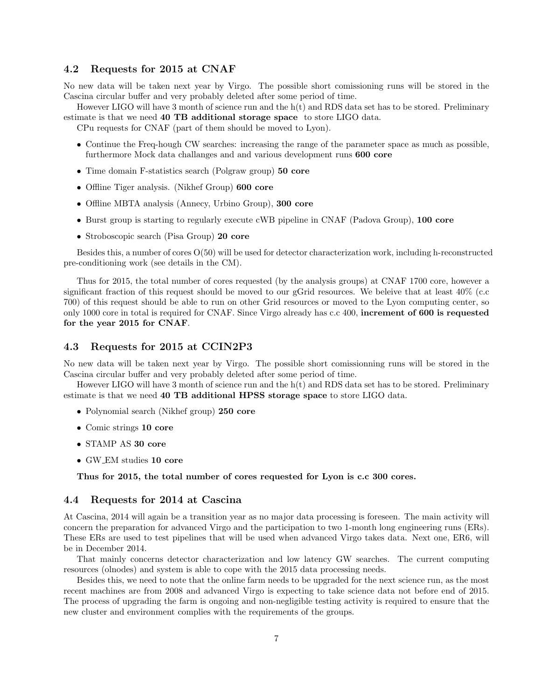### 4.2 Requests for 2015 at CNAF

No new data will be taken next year by Virgo. The possible short comissioning runs will be stored in the Cascina circular buffer and very probably deleted after some period of time.

However LIGO will have 3 month of science run and the h(t) and RDS data set has to be stored. Preliminary estimate is that we need 40 TB additional storage space to store LIGO data.

CPu requests for CNAF (part of them should be moved to Lyon).

- Continue the Freq-hough CW searches: increasing the range of the parameter space as much as possible, furthermore Mock data challanges and and various development runs 600 core
- Time domain F-statistics search (Polgraw group) 50 core
- Offline Tiger analysis. (Nikhef Group) 600 core
- Offline MBTA analysis (Annecy, Urbino Group), 300 core
- Burst group is starting to regularly execute cWB pipeline in CNAF (Padova Group), 100 core
- Stroboscopic search (Pisa Group) 20 core

Besides this, a number of cores O(50) will be used for detector characterization work, including h-reconstructed pre-conditioning work (see details in the CM).

Thus for 2015, the total number of cores requested (by the analysis groups) at CNAF 1700 core, however a significant fraction of this request should be moved to our gGrid resources. We beleive that at least 40% (c.c 700) of this request should be able to run on other Grid resources or moved to the Lyon computing center, so only 1000 core in total is required for CNAF. Since Virgo already has c.c 400, increment of 600 is requested for the year 2015 for CNAF.

### 4.3 Requests for 2015 at CCIN2P3

No new data will be taken next year by Virgo. The possible short comissionning runs will be stored in the Cascina circular buffer and very probably deleted after some period of time.

However LIGO will have 3 month of science run and the h(t) and RDS data set has to be stored. Preliminary estimate is that we need 40 TB additional HPSS storage space to store LIGO data.

- Polynomial search (Nikhef group) 250 core
- Comic strings 10 core
- STAMP AS 30 core
- GW EM studies 10 core

Thus for 2015, the total number of cores requested for Lyon is c.c 300 cores.

### 4.4 Requests for 2014 at Cascina

At Cascina, 2014 will again be a transition year as no major data processing is foreseen. The main activity will concern the preparation for advanced Virgo and the participation to two 1-month long engineering runs (ERs). These ERs are used to test pipelines that will be used when advanced Virgo takes data. Next one, ER6, will be in December 2014.

That mainly concerns detector characterization and low latency GW searches. The current computing resources (olnodes) and system is able to cope with the 2015 data processing needs.

Besides this, we need to note that the online farm needs to be upgraded for the next science run, as the most recent machines are from 2008 and advanced Virgo is expecting to take science data not before end of 2015. The process of upgrading the farm is ongoing and non-negligible testing activity is required to ensure that the new cluster and environment complies with the requirements of the groups.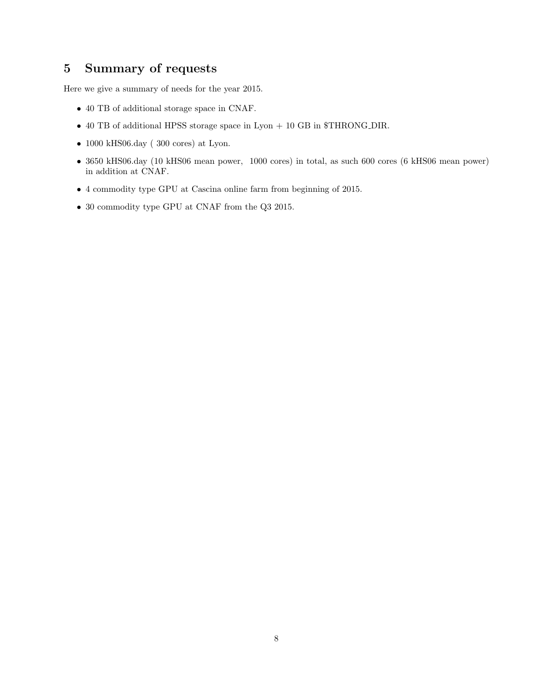### 5 Summary of requests

Here we give a summary of needs for the year 2015.

- 40 TB of additional storage space in CNAF.
- 40 TB of additional HPSS storage space in Lyon + 10 GB in \$THRONG DIR.
- $\bullet$  1000 kHS06.day (  $300$  cores) at Lyon.
- 3650 kHS06.day (10 kHS06 mean power, 1000 cores) in total, as such 600 cores (6 kHS06 mean power) in addition at CNAF.
- 4 commodity type GPU at Cascina online farm from beginning of 2015.
- 30 commodity type GPU at CNAF from the Q3 2015.